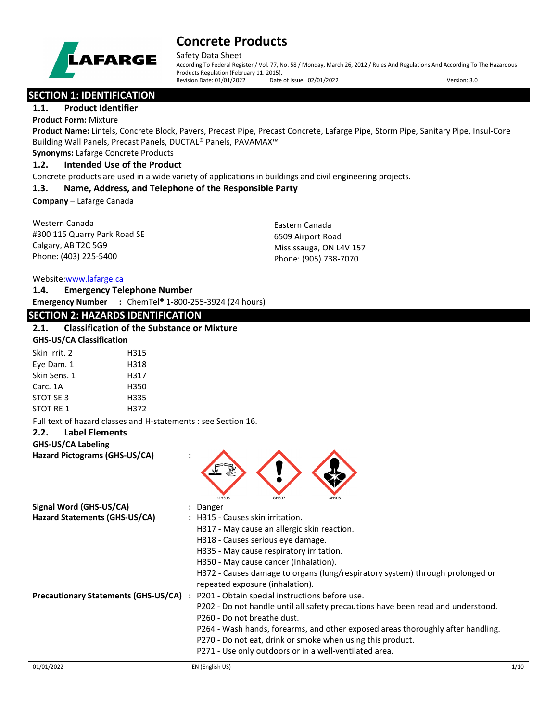

Safety Data Sheet

According To Federal Register / Vol. 77, No. 58 / Monday, March 26, 2012 / Rules And Regulations And According To The Hazardous Products Regulation (February 11, 2015).<br>Revision Date: 01/01/2022 Date of Issue: 02/01/2022 Revision Date: 01/01/2022 Date of Issue: 02/01/2022 Version: 3.0

# **SECTION 1: IDENTIFICATION**

### **1.1. Product Identifier**

**Product Form:** Mixture

**Product Name:** Lintels, Concrete Block, Pavers, Precast Pipe, Precast Concrete, Lafarge Pipe, Storm Pipe, Sanitary Pipe, Insul-Core Building Wall Panels, Precast Panels, DUCTAL® Panels, PAVAMAX™

### **Synonyms:** Lafarge Concrete Products

## **1.2. Intended Use of the Product**

Concrete products are used in a wide variety of applications in buildings and civil engineering projects.

### **1.3. Name, Address, and Telephone of the Responsible Party**

**Company** – Lafarge Canada

Western Canada #300 115 Quarry Park Road SE Calgary, AB T2C 5G9 Phone: (403) 225-5400

Eastern Canada 6509 Airport Road Mississauga, ON L4V 157 Phone: (905) 738-7070

#### Website[:www.lafarge.ca](file://leon/customers/CUSTOMERS/Lafarge_North_America_Inc/Projects/Authoring_20180316/Batch_Folder/B_Draft_SDS/MS_Word_Files/www.lafarge.ca)

**1.4. Emergency Telephone Number Emergency Number :** ChemTel® 1-800-255-3924 (24 hours)

# **SECTION 2: HAZARDS IDENTIFICATION**

# **2.1. Classification of the Substance or Mixture**

**GHS-US/CA Classification**

| Skin Irrit. 2    | H315 |
|------------------|------|
| Eye Dam. 1       | H318 |
| Skin Sens. 1     | H317 |
| Carc. 1A         | H350 |
| STOT SE 3        | H335 |
| <b>STOT RE 1</b> | H372 |

Full text of hazard classes and H-statements : see Section 16.

#### **2.2. Label Elements**

**GHS-US/CA Labeling**

**Hazard Pictograms (GHS-US/CA) :**



| Signal Word (GHS-US/CA)                     | : Danger                                                                         |      |
|---------------------------------------------|----------------------------------------------------------------------------------|------|
| Hazard Statements (GHS-US/CA)               | : H315 - Causes skin irritation.                                                 |      |
|                                             | H317 - May cause an allergic skin reaction.                                      |      |
|                                             | H318 - Causes serious eye damage.                                                |      |
|                                             | H335 - May cause respiratory irritation.                                         |      |
|                                             | H350 - May cause cancer (Inhalation).                                            |      |
|                                             | H372 - Causes damage to organs (lung/respiratory system) through prolonged or    |      |
|                                             | repeated exposure (inhalation).                                                  |      |
| <b>Precautionary Statements (GHS-US/CA)</b> | P201 - Obtain special instructions before use.                                   |      |
|                                             | P202 - Do not handle until all safety precautions have been read and understood. |      |
|                                             | P260 - Do not breathe dust.                                                      |      |
|                                             | P264 - Wash hands, forearms, and other exposed areas thoroughly after handling.  |      |
|                                             | P270 - Do not eat, drink or smoke when using this product.                       |      |
|                                             | P271 - Use only outdoors or in a well-ventilated area.                           |      |
| 01/01/2022                                  | EN (English US)                                                                  | 1/10 |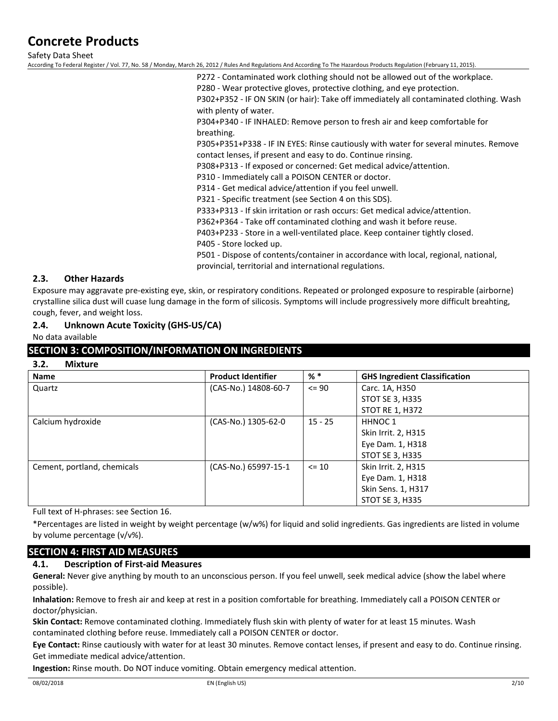Safety Data Sheet

According To Federal Register / Vol. 77, No. 58 / Monday, March 26, 2012 / Rules And Regulations And According To The Hazardous Products Regulation (February 11, 2015).

P272 - Contaminated work clothing should not be allowed out of the workplace.

P280 - Wear protective gloves, protective clothing, and eye protection.

P302+P352 - IF ON SKIN (or hair): Take off immediately all contaminated clothing. Wash with plenty of water.

P304+P340 - IF INHALED: Remove person to fresh air and keep comfortable for breathing.

P305+P351+P338 - IF IN EYES: Rinse cautiously with water for several minutes. Remove contact lenses, if present and easy to do. Continue rinsing.

P308+P313 - If exposed or concerned: Get medical advice/attention.

P310 - Immediately call a POISON CENTER or doctor.

P314 - Get medical advice/attention if you feel unwell.

P321 - Specific treatment (see Section 4 on this SDS).

P333+P313 - If skin irritation or rash occurs: Get medical advice/attention.

P362+P364 - Take off contaminated clothing and wash it before reuse.

P403+P233 - Store in a well-ventilated place. Keep container tightly closed.

P405 - Store locked up.

P501 - Dispose of contents/container in accordance with local, regional, national, provincial, territorial and international regulations.

# **2.3. Other Hazards**

Exposure may aggravate pre-existing eye, skin, or respiratory conditions. Repeated or prolonged exposure to respirable (airborne) crystalline silica dust will cuase lung damage in the form of silicosis. Symptoms will include progressively more difficult breahting, cough, fever, and weight loss.

### **2.4. Unknown Acute Toxicity (GHS-US/CA)**

No data available

### **SECTION 3: COMPOSITION/INFORMATION ON INGREDIENTS**

**3.2. Mixture**

| <b>Name</b>                 | <b>Product Identifier</b> | $%$ $*$   | <b>GHS Ingredient Classification</b> |
|-----------------------------|---------------------------|-----------|--------------------------------------|
| Quartz                      | (CAS-No.) 14808-60-7      | $\leq$ 90 | Carc. 1A, H350                       |
|                             |                           |           | STOT SE 3, H335                      |
|                             |                           |           | <b>STOT RE 1, H372</b>               |
| Calcium hydroxide           | (CAS-No.) 1305-62-0       | $15 - 25$ | HHNOC <sub>1</sub>                   |
|                             |                           |           | Skin Irrit. 2, H315                  |
|                             |                           |           | Eye Dam. 1, H318                     |
|                             |                           |           | STOT SE 3, H335                      |
| Cement, portland, chemicals | (CAS-No.) 65997-15-1      | $\leq 10$ | Skin Irrit. 2, H315                  |
|                             |                           |           | Eye Dam. 1, H318                     |
|                             |                           |           | Skin Sens. 1, H317                   |
|                             |                           |           | STOT SE 3, H335                      |

Full text of H-phrases: see Section 16.

\*Percentages are listed in weight by weight percentage (w/w%) for liquid and solid ingredients. Gas ingredients are listed in volume by volume percentage (v/v%).

# **SECTION 4: FIRST AID MEASURES**

## **4.1. Description of First-aid Measures**

**General:** Never give anything by mouth to an unconscious person. If you feel unwell, seek medical advice (show the label where possible).

**Inhalation:** Remove to fresh air and keep at rest in a position comfortable for breathing. Immediately call a POISON CENTER or doctor/physician.

**Skin Contact:** Remove contaminated clothing. Immediately flush skin with plenty of water for at least 15 minutes. Wash contaminated clothing before reuse. Immediately call a POISON CENTER or doctor.

**Eye Contact:** Rinse cautiously with water for at least 30 minutes. Remove contact lenses, if present and easy to do. Continue rinsing. Get immediate medical advice/attention.

**Ingestion:** Rinse mouth. Do NOT induce vomiting. Obtain emergency medical attention.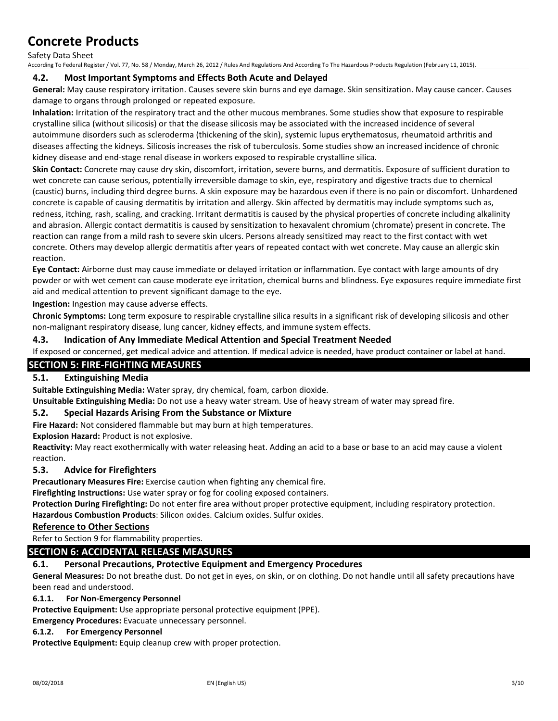#### Safety Data Sheet

According To Federal Register / Vol. 77, No. 58 / Monday, March 26, 2012 / Rules And Regulations And According To The Hazardous Products Regulation (February 11, 2015).

### **4.2. Most Important Symptoms and Effects Both Acute and Delayed**

**General:** May cause respiratory irritation. Causes severe skin burns and eye damage. Skin sensitization. May cause cancer. Causes damage to organs through prolonged or repeated exposure.

**Inhalation:** Irritation of the respiratory tract and the other mucous membranes. Some studies show that exposure to respirable crystalline silica (without silicosis) or that the disease silicosis may be associated with the increased incidence of several autoimmune disorders such as scleroderma (thickening of the skin), systemic lupus erythematosus, rheumatoid arthritis and diseases affecting the kidneys. Silicosis increases the risk of tuberculosis. Some studies show an increased incidence of chronic kidney disease and end-stage renal disease in workers exposed to respirable crystalline silica.

**Skin Contact:** Concrete may cause dry skin, discomfort, irritation, severe burns, and dermatitis. Exposure of sufficient duration to wet concrete can cause serious, potentially irreversible damage to skin, eye, respiratory and digestive tracts due to chemical (caustic) burns, including third degree burns. A skin exposure may be hazardous even if there is no pain or discomfort. Unhardened concrete is capable of causing dermatitis by irritation and allergy. Skin affected by dermatitis may include symptoms such as, redness, itching, rash, scaling, and cracking. Irritant dermatitis is caused by the physical properties of concrete including alkalinity and abrasion. Allergic contact dermatitis is caused by sensitization to hexavalent chromium (chromate) present in concrete. The reaction can range from a mild rash to severe skin ulcers. Persons already sensitized may react to the first contact with wet concrete. Others may develop allergic dermatitis after years of repeated contact with wet concrete. May cause an allergic skin reaction.

**Eye Contact:** Airborne dust may cause immediate or delayed irritation or inflammation. Eye contact with large amounts of dry powder or with wet cement can cause moderate eye irritation, chemical burns and blindness. Eye exposures require immediate first aid and medical attention to prevent significant damage to the eye.

**Ingestion:** Ingestion may cause adverse effects.

**Chronic Symptoms:** Long term exposure to respirable crystalline silica results in a significant risk of developing silicosis and other non-malignant respiratory disease, lung cancer, kidney effects, and immune system effects.

### **4.3. Indication of Any Immediate Medical Attention and Special Treatment Needed**

If exposed or concerned, get medical advice and attention. If medical advice is needed, have product container or label at hand.

### **SECTION 5: FIRE-FIGHTING MEASURES**

### **5.1. Extinguishing Media**

**Suitable Extinguishing Media:** Water spray, dry chemical, foam, carbon dioxide.

**Unsuitable Extinguishing Media:** Do not use a heavy water stream. Use of heavy stream of water may spread fire.

### **5.2. Special Hazards Arising From the Substance or Mixture**

**Fire Hazard:** Not considered flammable but may burn at high temperatures.

**Explosion Hazard:** Product is not explosive.

**Reactivity:** May react exothermically with water releasing heat. Adding an acid to a base or base to an acid may cause a violent reaction.

### **5.3. Advice for Firefighters**

**Precautionary Measures Fire:** Exercise caution when fighting any chemical fire.

**Firefighting Instructions:** Use water spray or fog for cooling exposed containers.

**Protection During Firefighting:** Do not enter fire area without proper protective equipment, including respiratory protection.

**Hazardous Combustion Products**: Silicon oxides. Calcium oxides. Sulfur oxides.

### **Reference to Other Sections**

Refer to Section 9 for flammability properties.

## **SECTION 6: ACCIDENTAL RELEASE MEASURES**

### **6.1. Personal Precautions, Protective Equipment and Emergency Procedures**

**General Measures:** Do not breathe dust. Do not get in eyes, on skin, or on clothing. Do not handle until all safety precautions have been read and understood.

#### **6.1.1. For Non-Emergency Personnel**

**Protective Equipment:** Use appropriate personal protective equipment (PPE).

**Emergency Procedures:** Evacuate unnecessary personnel.

#### **6.1.2. For Emergency Personnel**

**Protective Equipment:** Equip cleanup crew with proper protection.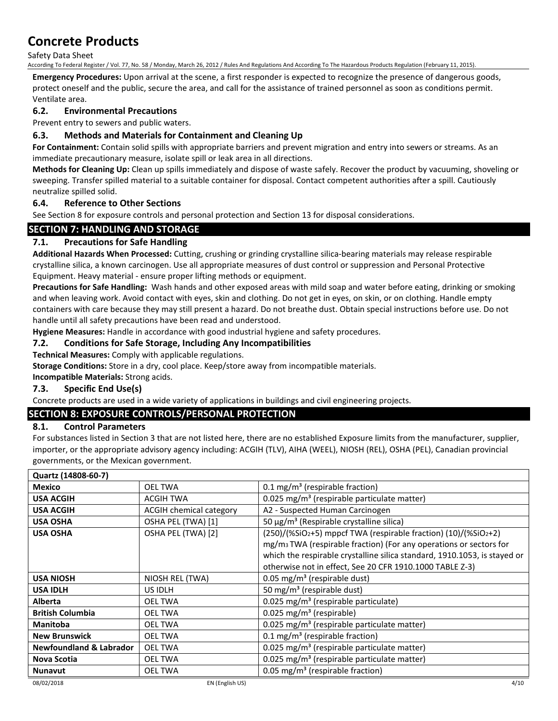Safety Data Sheet

According To Federal Register / Vol. 77, No. 58 / Monday, March 26, 2012 / Rules And Regulations And According To The Hazardous Products Regulation (February 11, 2015).

**Emergency Procedures:** Upon arrival at the scene, a first responder is expected to recognize the presence of dangerous goods, protect oneself and the public, secure the area, and call for the assistance of trained personnel as soon as conditions permit. Ventilate area.

# **6.2. Environmental Precautions**

Prevent entry to sewers and public waters.

# **6.3. Methods and Materials for Containment and Cleaning Up**

**For Containment:** Contain solid spills with appropriate barriers and prevent migration and entry into sewers or streams. As an immediate precautionary measure, isolate spill or leak area in all directions.

**Methods for Cleaning Up:** Clean up spills immediately and dispose of waste safely. Recover the product by vacuuming, shoveling or sweeping. Transfer spilled material to a suitable container for disposal. Contact competent authorities after a spill. Cautiously neutralize spilled solid.

# **6.4. Reference to Other Sections**

See Section 8 for exposure controls and personal protection and Section 13 for disposal considerations.

# **SECTION 7: HANDLING AND STORAGE**

# **7.1. Precautions for Safe Handling**

**Additional Hazards When Processed:** Cutting, crushing or grinding crystalline silica-bearing materials may release respirable crystalline silica, a known carcinogen. Use all appropriate measures of dust control or suppression and Personal Protective Equipment. Heavy material - ensure proper lifting methods or equipment.

**Precautions for Safe Handling:** Wash hands and other exposed areas with mild soap and water before eating, drinking or smoking and when leaving work. Avoid contact with eyes, skin and clothing. Do not get in eyes, on skin, or on clothing. Handle empty containers with care because they may still present a hazard. Do not breathe dust. Obtain special instructions before use. Do not handle until all safety precautions have been read and understood.

**Hygiene Measures:** Handle in accordance with good industrial hygiene and safety procedures.

### **7.2. Conditions for Safe Storage, Including Any Incompatibilities**

### **Technical Measures:** Comply with applicable regulations.

**Storage Conditions:** Store in a dry, cool place. Keep/store away from incompatible materials.

**Incompatible Materials:** Strong acids.

# **7.3. Specific End Use(s)**

Concrete products are used in a wide variety of applications in buildings and civil engineering projects.

# **SECTION 8: EXPOSURE CONTROLS/PERSONAL PROTECTION**

## **8.1. Control Parameters**

For substances listed in Section 3 that are not listed here, there are no established Exposure limits from the manufacturer, supplier, importer, or the appropriate advisory agency including: ACGIH (TLV), AIHA (WEEL), NIOSH (REL), OSHA (PEL), Canadian provincial governments, or the Mexican government.

| Quartz (14808-60-7)                |                                |                                                                                |
|------------------------------------|--------------------------------|--------------------------------------------------------------------------------|
| <b>Mexico</b>                      | <b>OEL TWA</b>                 | 0.1 mg/m <sup>3</sup> (respirable fraction)                                    |
| <b>USA ACGIH</b>                   | <b>ACGIH TWA</b>               | 0.025 mg/m <sup>3</sup> (respirable particulate matter)                        |
| <b>USA ACGIH</b>                   | <b>ACGIH chemical category</b> | A2 - Suspected Human Carcinogen                                                |
| <b>USA OSHA</b>                    | OSHA PEL (TWA) [1]             | 50 $\mu$ g/m <sup>3</sup> (Respirable crystalline silica)                      |
| <b>USA OSHA</b>                    | OSHA PEL (TWA) [2]             | $(250)/($ %SiO2+5) mppcf TWA (respirable fraction) $(10)/($ %SiO2+2)           |
|                                    |                                | mg/m <sub>3</sub> TWA (respirable fraction) (For any operations or sectors for |
|                                    |                                | which the respirable crystalline silica standard, 1910.1053, is stayed or      |
|                                    |                                | otherwise not in effect, See 20 CFR 1910.1000 TABLE Z-3)                       |
| USA NIOSH                          | NIOSH REL (TWA)                | 0.05 mg/m <sup>3</sup> (respirable dust)                                       |
| <b>USA IDLH</b>                    | US IDLH                        | 50 mg/m <sup>3</sup> (respirable dust)                                         |
| Alberta                            | <b>OEL TWA</b>                 | 0.025 mg/m <sup>3</sup> (respirable particulate)                               |
| <b>British Columbia</b>            | <b>OEL TWA</b>                 | 0.025 mg/m <sup>3</sup> (respirable)                                           |
| <b>Manitoba</b>                    | <b>OEL TWA</b>                 | 0.025 mg/m <sup>3</sup> (respirable particulate matter)                        |
| <b>New Brunswick</b>               | <b>OEL TWA</b>                 | 0.1 mg/m <sup>3</sup> (respirable fraction)                                    |
| <b>Newfoundland &amp; Labrador</b> | <b>OEL TWA</b>                 | 0.025 mg/m <sup>3</sup> (respirable particulate matter)                        |
| Nova Scotia                        | <b>OEL TWA</b>                 | 0.025 mg/m <sup>3</sup> (respirable particulate matter)                        |
| <b>Nunavut</b>                     | OEL TWA                        | 0.05 mg/m <sup>3</sup> (respirable fraction)                                   |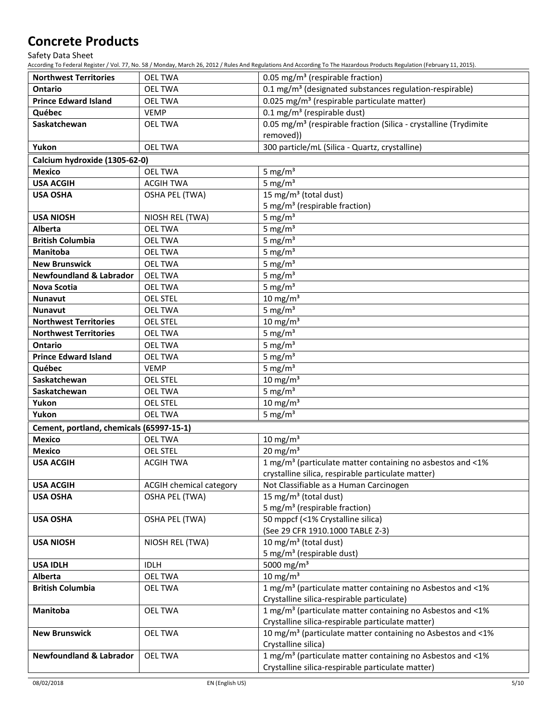Safety Data Sheet

According To Federal Register / Vol. 77, No. 58 / Monday, March 26, 2012 / Rules And Regulations And According To The Hazardous Products Regulation (February 11, 2015).

| <b>Northwest Territories</b>             | <b>OEL TWA</b>                 | 0.05 mg/m <sup>3</sup> (respirable fraction)                                 |
|------------------------------------------|--------------------------------|------------------------------------------------------------------------------|
| Ontario                                  | <b>OEL TWA</b>                 | 0.1 mg/m <sup>3</sup> (designated substances regulation-respirable)          |
| <b>Prince Edward Island</b>              | <b>OEL TWA</b>                 | 0.025 mg/m <sup>3</sup> (respirable particulate matter)                      |
| Québec                                   | <b>VEMP</b>                    | $0.1$ mg/m <sup>3</sup> (respirable dust)                                    |
| Saskatchewan                             | <b>OEL TWA</b>                 | 0.05 mg/m <sup>3</sup> (respirable fraction (Silica - crystalline (Trydimite |
|                                          |                                | removed))                                                                    |
| Yukon                                    | <b>OEL TWA</b>                 | 300 particle/mL (Silica - Quartz, crystalline)                               |
| Calcium hydroxide (1305-62-0)            |                                |                                                                              |
| <b>Mexico</b>                            | <b>OEL TWA</b>                 | 5 mg/ $m3$                                                                   |
| <b>USA ACGIH</b>                         | <b>ACGIH TWA</b>               | 5 mg/ $m3$                                                                   |
| <b>USA OSHA</b>                          | <b>OSHA PEL (TWA)</b>          | 15 mg/m <sup>3</sup> (total dust)                                            |
|                                          |                                | 5 mg/m <sup>3</sup> (respirable fraction)                                    |
| <b>USA NIOSH</b>                         | NIOSH REL (TWA)                | 5 mg/ $m3$                                                                   |
| <b>Alberta</b>                           | <b>OEL TWA</b>                 | 5 mg/ $m3$                                                                   |
| <b>British Columbia</b>                  | <b>OEL TWA</b>                 | 5 mg/ $m3$                                                                   |
| <b>Manitoba</b>                          | <b>OEL TWA</b>                 | 5 mg/ $m3$                                                                   |
| <b>New Brunswick</b>                     | <b>OEL TWA</b>                 | 5 mg/m $3$                                                                   |
| <b>Newfoundland &amp; Labrador</b>       | <b>OEL TWA</b>                 | 5 mg/ $m3$                                                                   |
| Nova Scotia                              | <b>OEL TWA</b>                 | 5 mg/ $m3$                                                                   |
| <b>Nunavut</b>                           | <b>OEL STEL</b>                | 10 mg/m $3$                                                                  |
| <b>Nunavut</b>                           | <b>OEL TWA</b>                 | 5 mg/ $m3$                                                                   |
| <b>Northwest Territories</b>             | <b>OEL STEL</b>                | $10 \text{ mg/m}^3$                                                          |
| <b>Northwest Territories</b>             | <b>OEL TWA</b>                 | 5 mg/ $m3$                                                                   |
| <b>Ontario</b>                           | <b>OEL TWA</b>                 | 5 mg/ $m3$                                                                   |
| <b>Prince Edward Island</b>              | <b>OEL TWA</b>                 | 5 mg/ $m3$                                                                   |
| Québec                                   | <b>VEMP</b>                    | 5 mg/ $m3$                                                                   |
| Saskatchewan                             | <b>OEL STEL</b>                | 10 mg/m $3$                                                                  |
| Saskatchewan                             | <b>OEL TWA</b>                 | 5 mg/ $m3$                                                                   |
| Yukon                                    | <b>OEL STEL</b>                | 10 mg/m $3$                                                                  |
| Yukon                                    | <b>OEL TWA</b>                 | 5 mg/ $m3$                                                                   |
| Cement, portland, chemicals (65997-15-1) |                                |                                                                              |
| <b>Mexico</b>                            | <b>OEL TWA</b>                 | $10 \text{ mg/m}^3$                                                          |
| <b>Mexico</b>                            | <b>OEL STEL</b>                | 20 mg/m $3$                                                                  |
| <b>USA ACGIH</b>                         | <b>ACGIH TWA</b>               | 1 mg/m <sup>3</sup> (particulate matter containing no asbestos and $\leq$ 1% |
|                                          |                                | crystalline silica, respirable particulate matter)                           |
| <b>USA ACGIH</b>                         | <b>ACGIH chemical category</b> | Not Classifiable as a Human Carcinogen                                       |
| <b>USA OSHA</b>                          | <b>OSHA PEL (TWA)</b>          | 15 mg/m <sup>3</sup> (total dust)                                            |
|                                          |                                | 5 mg/m <sup>3</sup> (respirable fraction)                                    |
| <b>USA OSHA</b>                          | OSHA PEL (TWA)                 | 50 mppcf (<1% Crystalline silica)                                            |
|                                          |                                | (See 29 CFR 1910.1000 TABLE Z-3)                                             |
| <b>USA NIOSH</b>                         | NIOSH REL (TWA)                | 10 mg/m <sup>3</sup> (total dust)                                            |
|                                          |                                | 5 mg/m <sup>3</sup> (respirable dust)<br>5000 mg/m <sup>3</sup>              |
| <b>USA IDLH</b><br><b>Alberta</b>        | <b>IDLH</b><br><b>OEL TWA</b>  | 10 mg/m $3$                                                                  |
|                                          |                                | 1 mg/m <sup>3</sup> (particulate matter containing no Asbestos and <1%       |
| <b>British Columbia</b>                  | <b>OEL TWA</b>                 | Crystalline silica-respirable particulate)                                   |
| Manitoba                                 | <b>OEL TWA</b>                 | 1 mg/m <sup>3</sup> (particulate matter containing no Asbestos and <1%       |
|                                          |                                | Crystalline silica-respirable particulate matter)                            |
| <b>New Brunswick</b>                     | <b>OEL TWA</b>                 | 10 mg/m <sup>3</sup> (particulate matter containing no Asbestos and <1%      |
|                                          |                                | Crystalline silica)                                                          |
| <b>Newfoundland &amp; Labrador</b>       | <b>OEL TWA</b>                 | 1 mg/m <sup>3</sup> (particulate matter containing no Asbestos and <1%       |
|                                          |                                |                                                                              |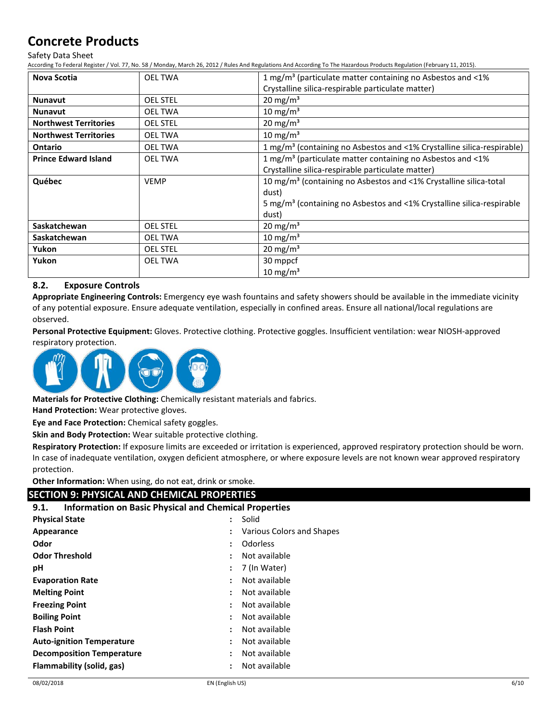Safety Data Sheet

According To Federal Register / Vol. 77, No. 58 / Monday, March 26, 2012 / Rules And Regulations And According To The Hazardous Products Regulation (February 11, 2015).

| <b>Nova Scotia</b>           | <b>OEL TWA</b>  | 1 mg/m <sup>3</sup> (particulate matter containing no Asbestos and $\leq$ 1%       |
|------------------------------|-----------------|------------------------------------------------------------------------------------|
|                              |                 | Crystalline silica-respirable particulate matter)                                  |
| <b>Nunavut</b>               | <b>OEL STEL</b> | 20 mg/m <sup>3</sup>                                                               |
| <b>Nunavut</b>               | <b>OEL TWA</b>  | 10 mg/m $3$                                                                        |
| <b>Northwest Territories</b> | <b>OEL STEL</b> | 20 mg/m <sup>3</sup>                                                               |
| <b>Northwest Territories</b> | <b>OEL TWA</b>  | 10 mg/m <sup>3</sup>                                                               |
| <b>Ontario</b>               | <b>OEL TWA</b>  | 1 mg/m <sup>3</sup> (containing no Asbestos and <1% Crystalline silica-respirable) |
| <b>Prince Edward Island</b>  | <b>OEL TWA</b>  | 1 mg/m <sup>3</sup> (particulate matter containing no Asbestos and <1%             |
|                              |                 | Crystalline silica-respirable particulate matter)                                  |
| Québec                       | <b>VEMP</b>     | 10 mg/m <sup>3</sup> (containing no Asbestos and <1% Crystalline silica-total      |
|                              |                 | dust)                                                                              |
|                              |                 | 5 mg/m <sup>3</sup> (containing no Asbestos and <1% Crystalline silica-respirable  |
|                              |                 | dust)                                                                              |
| Saskatchewan                 | <b>OEL STEL</b> | $20 \text{ mg/m}^3$                                                                |
| Saskatchewan                 | <b>OEL TWA</b>  | 10 mg/m <sup>3</sup>                                                               |
| Yukon                        | <b>OEL STEL</b> | $20 \text{ mg/m}^3$                                                                |
| Yukon                        | <b>OEL TWA</b>  | 30 mppcf                                                                           |
|                              |                 | 10 mg/m <sup>3</sup>                                                               |

# **8.2. Exposure Controls**

**Appropriate Engineering Controls:** Emergency eye wash fountains and safety showers should be available in the immediate vicinity of any potential exposure. Ensure adequate ventilation, especially in confined areas. Ensure all national/local regulations are observed.

**Personal Protective Equipment:** Gloves. Protective clothing. Protective goggles. Insufficient ventilation: wear NIOSH-approved respiratory protection.



**Materials for Protective Clothing:** Chemically resistant materials and fabrics.

**Hand Protection:** Wear protective gloves.

**Eye and Face Protection:** Chemical safety goggles.

**Skin and Body Protection:** Wear suitable protective clothing.

**Respiratory Protection:** If exposure limits are exceeded or irritation is experienced, approved respiratory protection should be worn. In case of inadequate ventilation, oxygen deficient atmosphere, or where exposure levels are not known wear approved respiratory protection.

**Other Information:** When using, do not eat, drink or smoke.

# **SECTION 9: PHYSICAL AND CHEMICAL PROPERTIES**

| 9.1. | <b>Information on Basic Physical and Chemical Properties</b> |  |  |  |
|------|--------------------------------------------------------------|--|--|--|
|------|--------------------------------------------------------------|--|--|--|

| <b>Physical State</b>            | $\ddot{\cdot}$       | Solid                     |
|----------------------------------|----------------------|---------------------------|
| Appearance                       | $\ddot{\cdot}$       | Various Colors and Shapes |
| Odor                             | $\ddot{\cdot}$       | Odorless                  |
| <b>Odor Threshold</b>            | $\ddot{\phantom{a}}$ | Not available             |
| рH                               | ÷                    | 7 (In Water)              |
| <b>Evaporation Rate</b>          | $\ddot{\cdot}$       | Not available             |
| <b>Melting Point</b>             | $\ddot{\cdot}$       | Not available             |
| <b>Freezing Point</b>            | $\ddot{\cdot}$       | Not available             |
| <b>Boiling Point</b>             | $\ddot{\cdot}$       | Not available             |
| <b>Flash Point</b>               | $\ddot{\cdot}$       | Not available             |
| <b>Auto-ignition Temperature</b> | $\ddot{\cdot}$       | Not available             |
| <b>Decomposition Temperature</b> | $\ddot{\cdot}$       | Not available             |
| Flammability (solid, gas)        | $\ddot{\cdot}$       | Not available             |
|                                  |                      |                           |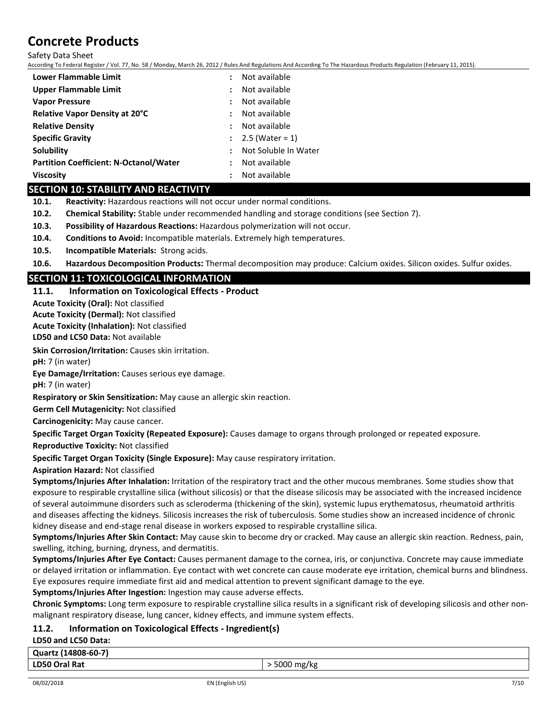Safety Data Sheet

According To Federal Register / Vol. 77, No. 58 / Monday, March 26, 2012 / Rules And Regulations And According To The Hazardous Products Regulation (February 11, 2015).

| Lower Flammable Limit                         | Not available<br>÷                           |
|-----------------------------------------------|----------------------------------------------|
| Upper Flammable Limit                         | Not available<br>÷                           |
| <b>Vapor Pressure</b>                         | Not available<br>$\ddot{\phantom{a}}$        |
| Relative Vapor Density at 20°C                | Not available<br>$\ddot{\phantom{a}}$        |
| <b>Relative Density</b>                       | Not available<br>$\ddot{\phantom{a}}$        |
| <b>Specific Gravity</b>                       | $2.5$ (Water = 1)<br>$\ddot{\phantom{a}}$    |
| Solubility                                    | Not Soluble In Water<br>$\ddot{\phantom{a}}$ |
| <b>Partition Coefficient: N-Octanol/Water</b> | Not available<br>$\ddot{\phantom{a}}$        |
| Viscosity                                     | Not available                                |

### **SECTION 10: STABILITY AND REACTIVITY**

**10.1. Reactivity:** Hazardous reactions will not occur under normal conditions.

- **10.2. Chemical Stability:** Stable under recommended handling and storage conditions (see Section 7).
- **10.3. Possibility of Hazardous Reactions:** Hazardous polymerization will not occur.
- **10.4. Conditions to Avoid:** Incompatible materials. Extremely high temperatures.
- **10.5. Incompatible Materials:** Strong acids.

**10.6. Hazardous Decomposition Products:** Thermal decomposition may produce: Calcium oxides. Silicon oxides. Sulfur oxides.

# **SECTION 11: TOXICOLOGICAL INFORMATION**

**11.1. Information on Toxicological Effects - Product**

**Acute Toxicity (Oral):** Not classified

**Acute Toxicity (Dermal):** Not classified

**Acute Toxicity (Inhalation):** Not classified

**LD50 and LC50 Data:** Not available

**Skin Corrosion/Irritation:** Causes skin irritation.

**pH:** 7 (in water)

**Eye Damage/Irritation:** Causes serious eye damage.

**pH:** 7 (in water)

**Respiratory or Skin Sensitization:** May cause an allergic skin reaction.

**Germ Cell Mutagenicity:** Not classified

**Carcinogenicity:** May cause cancer.

**Specific Target Organ Toxicity (Repeated Exposure):** Causes damage to organs through prolonged or repeated exposure.

**Reproductive Toxicity:** Not classified

**Specific Target Organ Toxicity (Single Exposure):** May cause respiratory irritation.

**Aspiration Hazard:** Not classified

**Symptoms/Injuries After Inhalation:** Irritation of the respiratory tract and the other mucous membranes. Some studies show that exposure to respirable crystalline silica (without silicosis) or that the disease silicosis may be associated with the increased incidence of several autoimmune disorders such as scleroderma (thickening of the skin), systemic lupus erythematosus, rheumatoid arthritis and diseases affecting the kidneys. Silicosis increases the risk of tuberculosis. Some studies show an increased incidence of chronic kidney disease and end-stage renal disease in workers exposed to respirable crystalline silica.

**Symptoms/Injuries After Skin Contact:** May cause skin to become dry or cracked. May cause an allergic skin reaction. Redness, pain, swelling, itching, burning, dryness, and dermatitis.

**Symptoms/Injuries After Eye Contact:** Causes permanent damage to the cornea, iris, or conjunctiva. Concrete may cause immediate or delayed irritation or inflammation. Eye contact with wet concrete can cause moderate eye irritation, chemical burns and blindness. Eye exposures require immediate first aid and medical attention to prevent significant damage to the eye.

**Symptoms/Injuries After Ingestion:** Ingestion may cause adverse effects.

**Chronic Symptoms:** Long term exposure to respirable crystalline silica results in a significant risk of developing silicosis and other nonmalignant respiratory disease, lung cancer, kidney effects, and immune system effects.

# **11.2. Information on Toxicological Effects - Ingredient(s)**

**LD50 and LC50 Data:**

|   | Quartz (14808-60-7) |  |
|---|---------------------|--|
| . |                     |  |

#### **LD50 Oral Rat** > 5000 mg/kg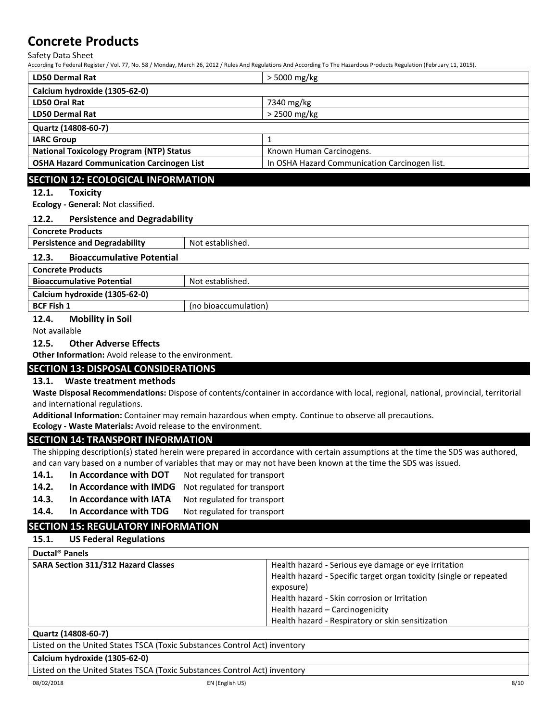Safety Data Sheet

According To Federal Register / Vol. 77, No. 58 / Monday, March 26, 2012 / Rules And Regulations And According To The Hazardous Products Regulation (February 11, 2015).

| <b>LD50 Dermal Rat</b>                           | > 5000 mg/kg                                  |
|--------------------------------------------------|-----------------------------------------------|
| Calcium hydroxide (1305-62-0)                    |                                               |
| LD50 Oral Rat                                    | 7340 mg/kg                                    |
| <b>LD50 Dermal Rat</b>                           | $>$ 2500 mg/kg                                |
| Quartz (14808-60-7)                              |                                               |
| <b>IARC Group</b>                                |                                               |
| <b>National Toxicology Program (NTP) Status</b>  | Known Human Carcinogens.                      |
| <b>OSHA Hazard Communication Carcinogen List</b> | In OSHA Hazard Communication Carcinogen list. |

### **SECTION 12: ECOLOGICAL INFORMATION**

#### **12.1. Toxicity**

**Ecology - General:** Not classified.

#### **12.2. Persistence and Degradability**

**Concrete Products**

| <b>Persistence and Degradability</b>      | Not established. |
|-------------------------------------------|------------------|
| <b>Bioaccumulative Potential</b><br>12.3. |                  |
| <b>Concrete Products</b>                  |                  |
| <b>Bioaccumulative Potential</b>          | Not established. |
| Calcium hydroxide (1305-62-0)             |                  |

#### **BCF Fish 1** (no bioaccumulation)

**12.4. Mobility in Soil**

Not available

#### **12.5. Other Adverse Effects**

**Other Information:** Avoid release to the environment.

### **SECTION 13: DISPOSAL CONSIDERATIONS**

### **13.1. Waste treatment methods**

**Waste Disposal Recommendations:** Dispose of contents/container in accordance with local, regional, national, provincial, territorial and international regulations.

**Additional Information:** Container may remain hazardous when empty. Continue to observe all precautions.

**Ecology - Waste Materials:** Avoid release to the environment.

### **SECTION 14: TRANSPORT INFORMATION**

The shipping description(s) stated herein were prepared in accordance with certain assumptions at the time the SDS was authored, and can vary based on a number of variables that may or may not have been known at the time the SDS was issued.

- 14.1. In Accordance with DOT Not regulated for transport
- **14.2. In Accordance with IMDG** Not regulated for transport
- 14.3. In Accordance with IATA Not regulated for transport
- 14.4. In Accordance with TDG Not regulated for transport

# **SECTION 15: REGULATORY INFORMATION**

### **15.1. US Federal Regulations**

| Ductal <sup>®</sup> Panels                                                |                                                                                                                                                                                                                            |  |
|---------------------------------------------------------------------------|----------------------------------------------------------------------------------------------------------------------------------------------------------------------------------------------------------------------------|--|
| <b>SARA Section 311/312 Hazard Classes</b>                                | Health hazard - Serious eye damage or eye irritation<br>Health hazard - Specific target organ toxicity (single or repeated<br>exposure)<br>Health hazard - Skin corrosion or Irritation<br>Health hazard - Carcinogenicity |  |
|                                                                           | Health hazard - Respiratory or skin sensitization                                                                                                                                                                          |  |
| Quartz (14808-60-7)                                                       |                                                                                                                                                                                                                            |  |
| Listed on the United States TSCA (Toxic Substances Control Act) inventory |                                                                                                                                                                                                                            |  |

# **Calcium hydroxide (1305-62-0)**

Listed on the United States TSCA (Toxic Substances Control Act) inventory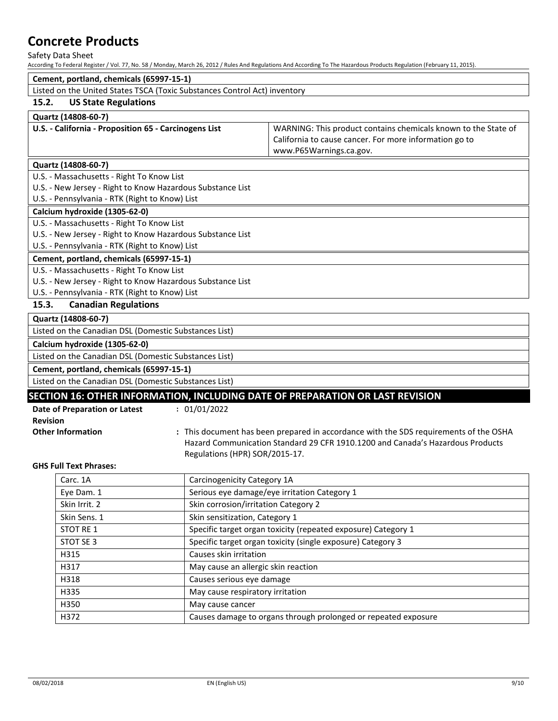Safety Data Sheet

According To Federal Register / Vol. 77, No. 58 / Monday, March 26, 2012 / Rules And Regulations And According To The Hazardous Products Regulation (February 11, 2015).

|                                                                           |                                                                | According To Federal Register / Vol. 77, No. 58 / Monday, March 26, 2012 / Rules And Regulations And According To The Hazardous Products Regulation (February 11, 2015). |
|---------------------------------------------------------------------------|----------------------------------------------------------------|--------------------------------------------------------------------------------------------------------------------------------------------------------------------------|
| Cement, portland, chemicals (65997-15-1)                                  |                                                                |                                                                                                                                                                          |
| Listed on the United States TSCA (Toxic Substances Control Act) inventory |                                                                |                                                                                                                                                                          |
| 15.2.<br><b>US State Regulations</b>                                      |                                                                |                                                                                                                                                                          |
| Quartz (14808-60-7)                                                       |                                                                |                                                                                                                                                                          |
| U.S. - California - Proposition 65 - Carcinogens List                     |                                                                | WARNING: This product contains chemicals known to the State of                                                                                                           |
|                                                                           |                                                                | California to cause cancer. For more information go to                                                                                                                   |
|                                                                           |                                                                | www.P65Warnings.ca.gov.                                                                                                                                                  |
| Quartz (14808-60-7)                                                       |                                                                |                                                                                                                                                                          |
| U.S. - Massachusetts - Right To Know List                                 |                                                                |                                                                                                                                                                          |
| U.S. - New Jersey - Right to Know Hazardous Substance List                |                                                                |                                                                                                                                                                          |
| U.S. - Pennsylvania - RTK (Right to Know) List                            |                                                                |                                                                                                                                                                          |
| Calcium hydroxide (1305-62-0)                                             |                                                                |                                                                                                                                                                          |
| U.S. - Massachusetts - Right To Know List                                 |                                                                |                                                                                                                                                                          |
| U.S. - New Jersey - Right to Know Hazardous Substance List                |                                                                |                                                                                                                                                                          |
| U.S. - Pennsylvania - RTK (Right to Know) List                            |                                                                |                                                                                                                                                                          |
| Cement, portland, chemicals (65997-15-1)                                  |                                                                |                                                                                                                                                                          |
| U.S. - Massachusetts - Right To Know List                                 |                                                                |                                                                                                                                                                          |
| U.S. - New Jersey - Right to Know Hazardous Substance List                |                                                                |                                                                                                                                                                          |
| U.S. - Pennsylvania - RTK (Right to Know) List                            |                                                                |                                                                                                                                                                          |
| <b>Canadian Regulations</b><br>15.3.                                      |                                                                |                                                                                                                                                                          |
| Quartz (14808-60-7)                                                       |                                                                |                                                                                                                                                                          |
| Listed on the Canadian DSL (Domestic Substances List)                     |                                                                |                                                                                                                                                                          |
| Calcium hydroxide (1305-62-0)                                             |                                                                |                                                                                                                                                                          |
| Listed on the Canadian DSL (Domestic Substances List)                     |                                                                |                                                                                                                                                                          |
| Cement, portland, chemicals (65997-15-1)                                  |                                                                |                                                                                                                                                                          |
| Listed on the Canadian DSL (Domestic Substances List)                     |                                                                |                                                                                                                                                                          |
|                                                                           |                                                                | SECTION 16: OTHER INFORMATION, INCLUDING DATE OF PREPARATION OR LAST REVISION                                                                                            |
| Date of Preparation or Latest                                             | : 01/01/2022                                                   |                                                                                                                                                                          |
| <b>Revision</b>                                                           |                                                                |                                                                                                                                                                          |
| <b>Other Information</b>                                                  |                                                                | : This document has been prepared in accordance with the SDS requirements of the OSHA                                                                                    |
|                                                                           |                                                                | Hazard Communication Standard 29 CFR 1910.1200 and Canada's Hazardous Products                                                                                           |
|                                                                           | Regulations (HPR) SOR/2015-17.                                 |                                                                                                                                                                          |
| <b>GHS Full Text Phrases:</b>                                             |                                                                |                                                                                                                                                                          |
| Carc. 1A                                                                  | Carcinogenicity Category 1A                                    |                                                                                                                                                                          |
| Eye Dam. 1                                                                | Serious eye damage/eye irritation Category 1                   |                                                                                                                                                                          |
| Skin Irrit. 2                                                             | Skin corrosion/irritation Category 2                           |                                                                                                                                                                          |
| Skin Sens. 1                                                              | Skin sensitization, Category 1                                 |                                                                                                                                                                          |
| STOT RE 1                                                                 |                                                                | Specific target organ toxicity (repeated exposure) Category 1                                                                                                            |
| STOT SE 3                                                                 |                                                                | Specific target organ toxicity (single exposure) Category 3                                                                                                              |
|                                                                           |                                                                |                                                                                                                                                                          |
| H315                                                                      | Causes skin irritation                                         |                                                                                                                                                                          |
| H317                                                                      | May cause an allergic skin reaction                            |                                                                                                                                                                          |
| H318                                                                      | Causes serious eye damage                                      |                                                                                                                                                                          |
| H335                                                                      | May cause respiratory irritation                               |                                                                                                                                                                          |
| H350                                                                      | May cause cancer                                               |                                                                                                                                                                          |
| H372                                                                      | Causes damage to organs through prolonged or repeated exposure |                                                                                                                                                                          |